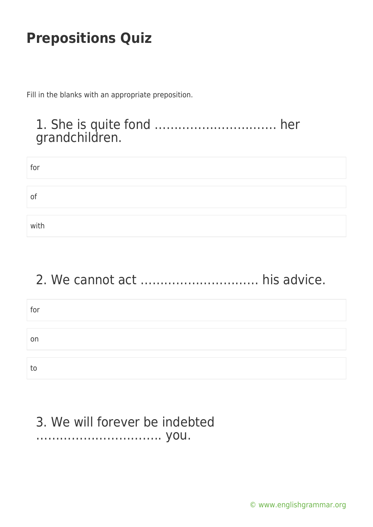Fill in the blanks with an appropriate preposition.

### 1. She is quite fond …………………………. her grandchildren.

| for  |  |
|------|--|
|      |  |
| 01   |  |
|      |  |
| with |  |

# 2. We cannot act ………………………… his advice.

| for |  |
|-----|--|
|     |  |
| on  |  |
|     |  |
| to  |  |

### 3. We will forever be indebted ………………………….. you.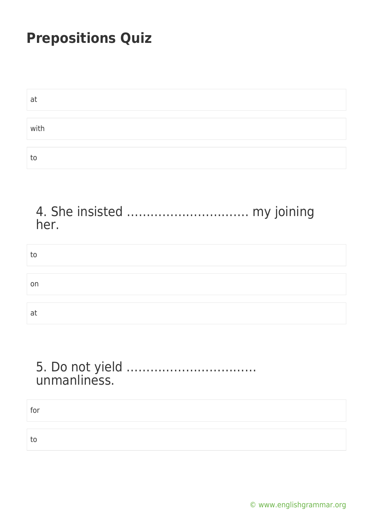| at   |  |
|------|--|
|      |  |
| with |  |
|      |  |
| to   |  |

#### 4. She insisted …………………………. my joining her.

| to |  |  |
|----|--|--|
|    |  |  |
| on |  |  |
|    |  |  |
| at |  |  |

#### 5. Do not yield …………………………… unmanliness.

for

to

[© www.englishgrammar.org](https://www.englishgrammar.org/)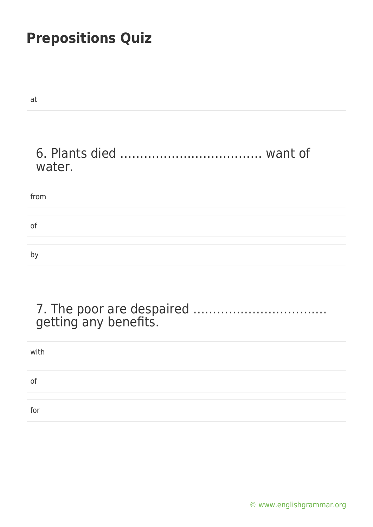| at     |
|--------|
|        |
| water. |
| from   |
| of     |
| by     |
|        |

### 7. The poor are despaired ……………………………. getting any benefits.

| with |  |
|------|--|
|      |  |
| of   |  |
|      |  |
| for  |  |

[© www.englishgrammar.org](https://www.englishgrammar.org/)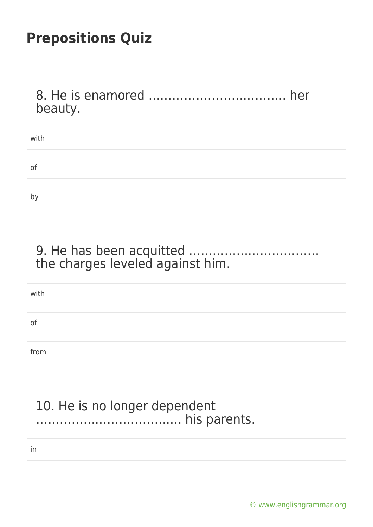8. He is enamored …………………………….. her beauty.

| with |  |
|------|--|
|      |  |
| O1   |  |
|      |  |
| b١   |  |

9. He has been acquitted …………………………… the charges leveled against him.

| with |  |  |
|------|--|--|
|      |  |  |
| of   |  |  |
|      |  |  |
| from |  |  |

### 10. He is no longer dependent ………………………………. his parents.

in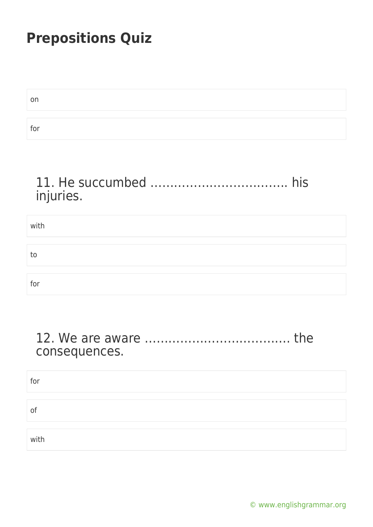| on  |  |  |  |
|-----|--|--|--|
|     |  |  |  |
| for |  |  |  |

### 11. He succumbed …………………………….. his injuries.

| with |  |  |
|------|--|--|
|      |  |  |
| to   |  |  |
|      |  |  |
| for  |  |  |

#### 12. We are aware ………………………………. the consequences.

for of with